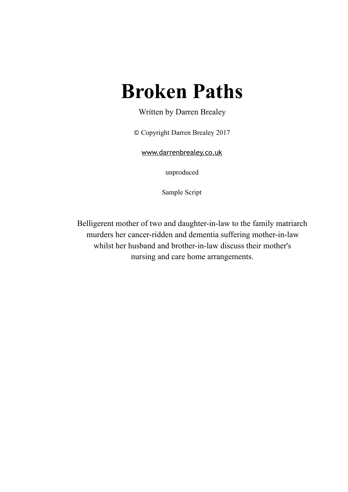# **Broken Paths**

Written by Darren Brealey

© Copyright Darren Brealey 2017

[www.darrenbrealey.co.uk](http://www.darrenbrealey.co.uk)

unproduced

Sample Script

Belligerent mother of two and daughter-in-law to the family matriarch murders her cancer-ridden and dementia suffering mother-in-law whilst her husband and brother-in-law discuss their mother's nursing and care home arrangements.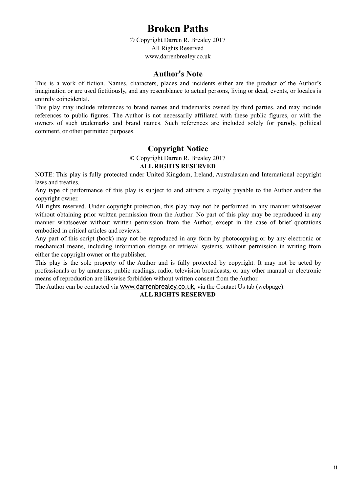# **Broken Paths**

© Copyright Darren R. Brealey 2017 All Rights Reserved www.darrenbrealey.co.uk

## **Author's Note**

This is a work of fiction. Names, characters, places and incidents either are the product of the Author's imagination or are used fictitiously, and any resemblance to actual persons, living or dead, events, or locales is entirely coincidental.

This play may include references to brand names and trademarks owned by third parties, and may include references to public figures. The Author is not necessarily affiliated with these public figures, or with the owners of such trademarks and brand names. Such references are included solely for parody, political comment, or other permitted purposes.

## **Copyright Notice**

© Copyright Darren R. Brealey 2017

#### **ALL RIGHTS RESERVED**

NOTE: This play is fully protected under United Kingdom, Ireland, Australasian and International copyright laws and treaties.

Any type of performance of this play is subject to and attracts a royalty payable to the Author and/or the copyright owner.

All rights reserved. Under copyright protection, this play may not be performed in any manner whatsoever without obtaining prior written permission from the Author. No part of this play may be reproduced in any manner whatsoever without written permission from the Author, except in the case of brief quotations embodied in critical articles and reviews.

Any part of this script (book) may not be reproduced in any form by photocopying or by any electronic or mechanical means, including information storage or retrieval systems, without permission in writing from either the copyright owner or the publisher.

This play is the sole property of the Author and is fully protected by copyright. It may not be acted by professionals or by amateurs; public readings, radio, television broadcasts, or any other manual or electronic means of reproduction are likewise forbidden without written consent from the Author.

The Author can be contacted via [www.darrenbrealey.co.uk](http://www.darrenbrealey.co.uk), via the Contact Us tab (webpage).

#### **ALL RIGHTS RESERVED**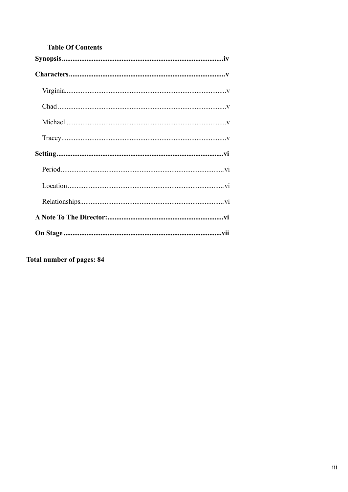## **Table Of Contents**

Total number of pages: 84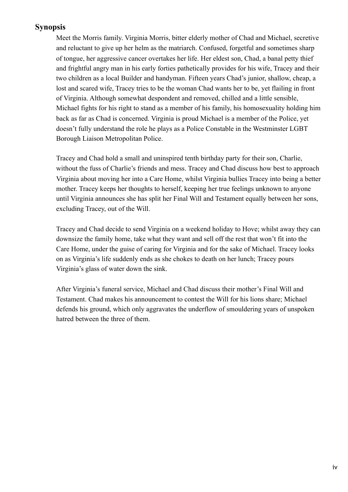## <span id="page-3-0"></span>**Synopsis**

Meet the Morris family. Virginia Morris, bitter elderly mother of Chad and Michael, secretive and reluctant to give up her helm as the matriarch. Confused, forgetful and sometimes sharp of tongue, her aggressive cancer overtakes her life. Her eldest son, Chad, a banal petty thief and frightful angry man in his early forties pathetically provides for his wife, Tracey and their two children as a local Builder and handyman. Fifteen years Chad's junior, shallow, cheap, a lost and scared wife, Tracey tries to be the woman Chad wants her to be, yet flailing in front of Virginia. Although somewhat despondent and removed, chilled and a little sensible, Michael fights for his right to stand as a member of his family, his homosexuality holding him back as far as Chad is concerned. Virginia is proud Michael is a member of the Police, yet doesn't fully understand the role he plays as a Police Constable in the Westminster LGBT Borough Liaison Metropolitan Police.

Tracey and Chad hold a small and uninspired tenth birthday party for their son, Charlie, without the fuss of Charlie's friends and mess. Tracey and Chad discuss how best to approach Virginia about moving her into a Care Home, whilst Virginia bullies Tracey into being a better mother. Tracey keeps her thoughts to herself, keeping her true feelings unknown to anyone until Virginia announces she has split her Final Will and Testament equally between her sons, excluding Tracey, out of the Will.

Tracey and Chad decide to send Virginia on a weekend holiday to Hove; whilst away they can downsize the family home, take what they want and sell off the rest that won't fit into the Care Home, under the guise of caring for Virginia and for the sake of Michael. Tracey looks on as Virginia's life suddenly ends as she chokes to death on her lunch; Tracey pours Virginia's glass of water down the sink.

After Virginia's funeral service, Michael and Chad discuss their mother's Final Will and Testament. Chad makes his announcement to contest the Will for his lions share; Michael defends his ground, which only aggravates the underflow of smouldering years of unspoken hatred between the three of them.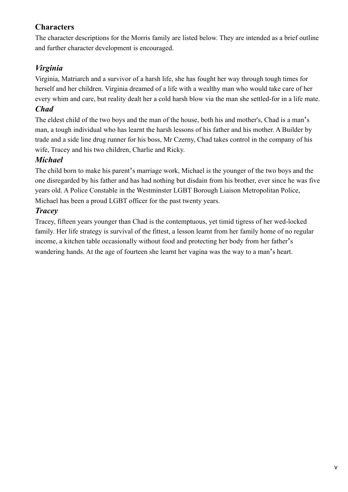## <span id="page-4-0"></span>**Characters**

The character descriptions for the Morris family are listed below. They are intended as a brief outline and further character development is encouraged.

## <span id="page-4-1"></span>*Virginia*

Virginia, Matriarch and a survivor of a harsh life, she has fought her way through tough times for herself and her children. Virginia dreamed of a life with a wealthy man who would take care of her every whim and care, but reality dealt her a cold harsh blow via the man she settled-for in a life mate.

## <span id="page-4-2"></span>*Chad*

The eldest child of the two boys and the man of the house, both his and mother's, Chad is a man's man, a tough individual who has learnt the harsh lessons of his father and his mother. A Builder by trade and a side line drug runner for his boss, Mr Czerny, Chad takes control in the company of his wife, Tracey and his two children, Charlie and Ricky.

## <span id="page-4-3"></span>*Michael*

The child born to make his parent's marriage work, Michael is the younger of the two boys and the one disregarded by his father and has had nothing but disdain from his brother, ever since he was five years old. A Police Constable in the Westminster LGBT Borough Liaison Metropolitan Police, Michael has been a proud LGBT officer for the past twenty years.

## <span id="page-4-4"></span>*Tracey*

Tracey, fifteen years younger than Chad is the contemptuous, yet timid tigress of her wed-locked family. Her life strategy is survival of the fittest, a lesson learnt from her family home of no regular income, a kitchen table occasionally without food and protecting her body from her father's wandering hands. At the age of fourteen she learnt her vagina was the way to a man's heart.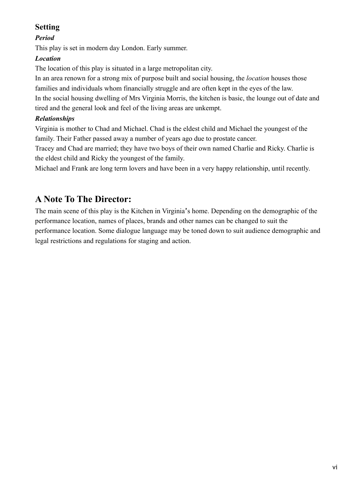## <span id="page-5-0"></span>**Setting**

## <span id="page-5-1"></span>*Period*

This play is set in modern day London. Early summer.

## <span id="page-5-2"></span>*Location*

The location of this play is situated in a large metropolitan city.

In an area renown for a strong mix of purpose built and social housing, the *location* houses those families and individuals whom financially struggle and are often kept in the eyes of the law. In the social housing dwelling of Mrs Virginia Morris, the kitchen is basic, the lounge out of date and tired and the general look and feel of the living areas are unkempt.

## <span id="page-5-3"></span>*Relationships*

Virginia is mother to Chad and Michael. Chad is the eldest child and Michael the youngest of the family. Their Father passed away a number of years ago due to prostate cancer.

Tracey and Chad are married; they have two boys of their own named Charlie and Ricky. Charlie is the eldest child and Ricky the youngest of the family.

Michael and Frank are long term lovers and have been in a very happy relationship, until recently.

# <span id="page-5-4"></span>**A Note To The Director:**

The main scene of this play is the Kitchen in Virginia's home. Depending on the demographic of the performance location, names of places, brands and other names can be changed to suit the performance location. Some dialogue language may be toned down to suit audience demographic and legal restrictions and regulations for staging and action.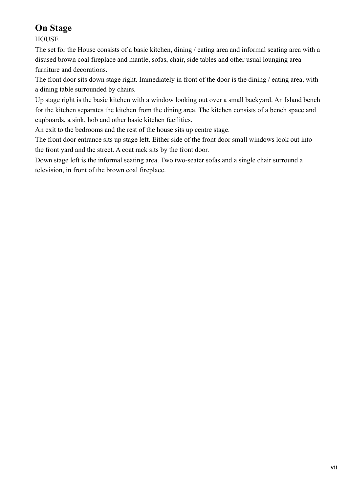# <span id="page-6-0"></span>**On Stage**

**HOUSE** 

The set for the House consists of a basic kitchen, dining / eating area and informal seating area with a disused brown coal fireplace and mantle, sofas, chair, side tables and other usual lounging area furniture and decorations.

The front door sits down stage right. Immediately in front of the door is the dining / eating area, with a dining table surrounded by chairs.

Up stage right is the basic kitchen with a window looking out over a small backyard. An Island bench for the kitchen separates the kitchen from the dining area. The kitchen consists of a bench space and cupboards, a sink, hob and other basic kitchen facilities.

An exit to the bedrooms and the rest of the house sits up centre stage.

The front door entrance sits up stage left. Either side of the front door small windows look out into the front yard and the street. A coat rack sits by the front door.

Down stage left is the informal seating area. Two two-seater sofas and a single chair surround a television, in front of the brown coal fireplace.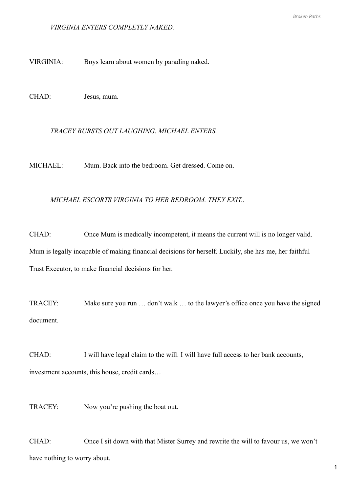#### *VIRGINIA ENTERS COMPLETLY NAKED.*

VIRGINIA: Boys learn about women by parading naked.

CHAD: Jesus, mum.

#### *TRACEY BURSTS OUT LAUGHING. MICHAEL ENTERS.*

MICHAEL: Mum. Back into the bedroom. Get dressed. Come on.

#### *MICHAEL ESCORTS VIRGINIA TO HER BEDROOM. THEY EXIT..*

CHAD: Once Mum is medically incompetent, it means the current will is no longer valid. Mum is legally incapable of making financial decisions for herself. Luckily, she has me, her faithful Trust Executor, to make financial decisions for her.

TRACEY: Make sure you run … don't walk … to the lawyer's office once you have the signed document.

CHAD: I will have legal claim to the will. I will have full access to her bank accounts, investment accounts, this house, credit cards…

TRACEY: Now you're pushing the boat out.

CHAD: Once I sit down with that Mister Surrey and rewrite the will to favour us, we won't have nothing to worry about.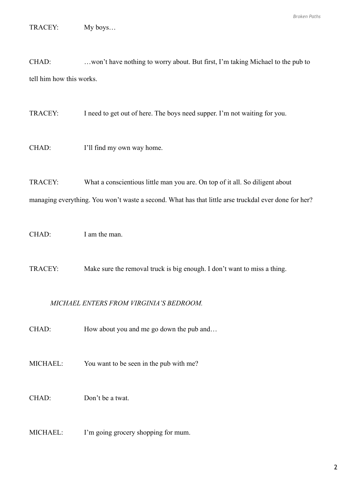TRACEY: My boys…

CHAD: …won't have nothing to worry about. But first, I'm taking Michael to the pub to tell him how this works.

TRACEY: I need to get out of here. The boys need supper. I'm not waiting for you.

CHAD: I'll find my own way home.

TRACEY: What a conscientious little man you are. On top of it all. So diligent about

managing everything. You won't waste a second. What has that little arse truckdal ever done for her?

CHAD: I am the man.

TRACEY: Make sure the removal truck is big enough. I don't want to miss a thing.

#### *MICHAEL ENTERS FROM VIRGINIA'S BEDROOM.*

CHAD: How about you and me go down the pub and…

MICHAEL: You want to be seen in the pub with me?

#### CHAD: Don't be a twat.

MICHAEL: I'm going grocery shopping for mum.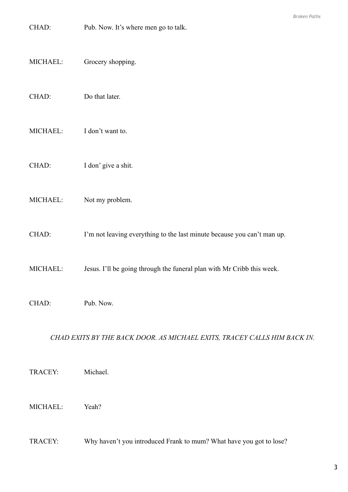- CHAD: Pub. Now. It's where men go to talk.
- MICHAEL: Grocery shopping.
- CHAD: Do that later.
- MICHAEL: I don't want to.
- CHAD: I don' give a shit.
- MICHAEL: Not my problem.
- CHAD: I'm not leaving everything to the last minute because you can't man up.
- MICHAEL: Jesus. I'll be going through the funeral plan with Mr Cribb this week.
- CHAD: Pub. Now.

### CHAD EXITS BY THE BACK DOOR. AS MICHAEL EXITS, TRACEY CALLS HIM BACK IN.

- TRACEY: Michael.
- MICHAEL: Yeah?
- TRACEY: Why haven't you introduced Frank to mum? What have you got to lose?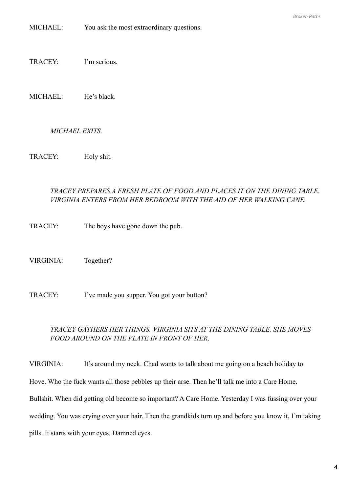MICHAEL: You ask the most extraordinary questions.

TRACEY: I'm serious.

MICHAEL: He's black.

#### *MICHAEL EXITS.*

TRACEY: Holy shit.

#### *TRACEY PREPARES A FRESH PLATE OF FOOD AND PLACES IT ON THE DINING TABLE. VIRGINIA ENTERS FROM HER BEDROOM WITH THE AID OF HER WALKING CANE.*

TRACEY: The boys have gone down the pub.

VIRGINIA: Together?

TRACEY: I've made you supper. You got your button?

#### *TRACEY GATHERS HER THINGS. VIRGINIA SITS AT THE DINING TABLE. SHE MOVES FOOD AROUND ON THE PLATE IN FRONT OF HER,*

VIRGINIA: It's around my neck. Chad wants to talk about me going on a beach holiday to Hove. Who the fuck wants all those pebbles up their arse. Then he'll talk me into a Care Home. Bullshit. When did getting old become so important? A Care Home. Yesterday I was fussing over your wedding. You was crying over your hair. Then the grandkids turn up and before you know it, I'm taking pills. It starts with your eyes. Damned eyes.